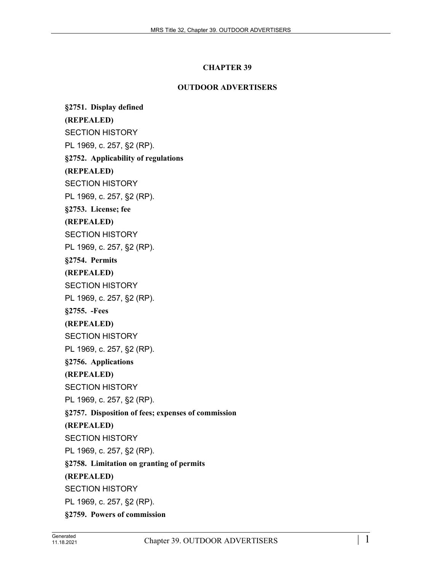## **CHAPTER 39**

## **OUTDOOR ADVERTISERS**

**§2751. Display defined (REPEALED)** SECTION HISTORY PL 1969, c. 257, §2 (RP). **§2752. Applicability of regulations (REPEALED)** SECTION HISTORY PL 1969, c. 257, §2 (RP). **§2753. License; fee (REPEALED)** SECTION HISTORY PL 1969, c. 257, §2 (RP). **§2754. Permits (REPEALED)** SECTION HISTORY PL 1969, c. 257, §2 (RP). **§2755. -Fees (REPEALED)** SECTION HISTORY PL 1969, c. 257, §2 (RP). **§2756. Applications (REPEALED)** SECTION HISTORY PL 1969, c. 257, §2 (RP). **§2757. Disposition of fees; expenses of commission (REPEALED)** SECTION HISTORY PL 1969, c. 257, §2 (RP). **§2758. Limitation on granting of permits (REPEALED)** SECTION HISTORY PL 1969, c. 257, §2 (RP). **§2759. Powers of commission**